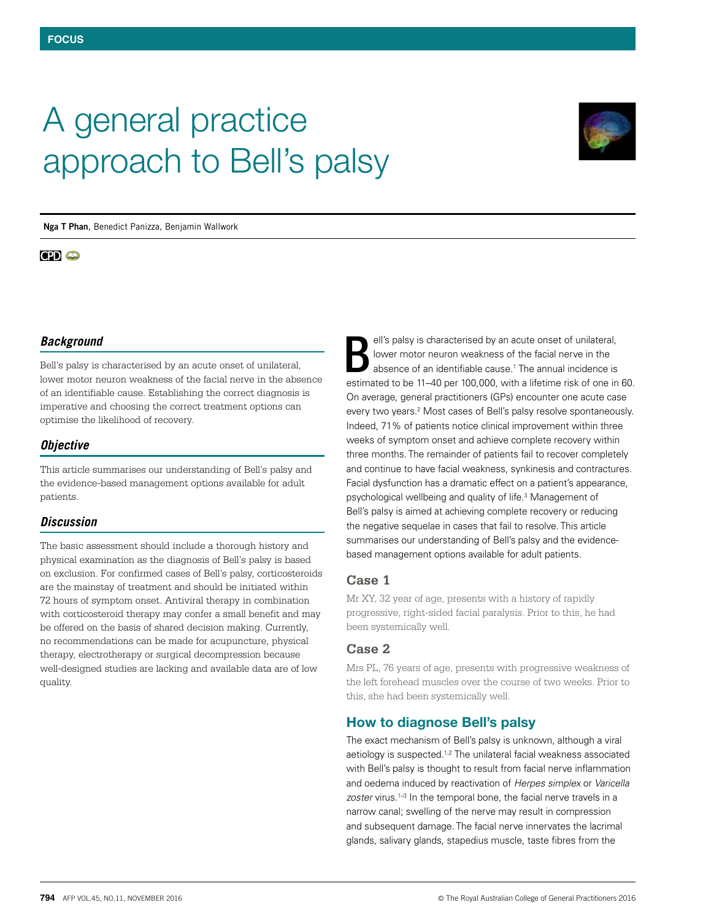# A general practice approach to Bell's palsy



**Nga T Phan**, Benedict Panizza, Benjamin Wallwork

# $CD<sub>o</sub>$

## *Background*

Bell's palsy is characterised by an acute onset of unilateral, lower motor neuron weakness of the facial nerve in the absence of an identifiable cause. Establishing the correct diagnosis is imperative and choosing the correct treatment options can optimise the likelihood of recovery.

## *Objective*

This article summarises our understanding of Bell's palsy and the evidence-based management options available for adult patients.

## *Discussion*

The basic assessment should include a thorough history and physical examination as the diagnosis of Bell's palsy is based on exclusion. For confirmed cases of Bell's palsy, corticosteroids are the mainstay of treatment and should be initiated within 72 hours of symptom onset. Antiviral therapy in combination with corticosteroid therapy may confer a small benefit and may be offered on the basis of shared decision making. Currently, no recommendations can be made for acupuncture, physical therapy, electrotherapy or surgical decompression because well-designed studies are lacking and available data are of low quality.

ell's palsy is characterised by an acute onset of unilateral, lower motor neuron weakness of the facial nerve in the absence of an identifiable cause.<sup>1</sup> The annual incidence is estimated to be 11–40 per 100,000, with a lifetime risk of one in 60. On average, general practitioners (GPs) encounter one acute case every two years.<sup>2</sup> Most cases of Bell's palsy resolve spontaneously. Indeed, 71% of patients notice clinical improvement within three weeks of symptom onset and achieve complete recovery within three months. The remainder of patients fail to recover completely and continue to have facial weakness, synkinesis and contractures. Facial dysfunction has a dramatic effect on a patient's appearance, psychological wellbeing and quality of life.3 Management of Bell's palsy is aimed at achieving complete recovery or reducing the negative sequelae in cases that fail to resolve. This article summarises our understanding of Bell's palsy and the evidencebased management options available for adult patients. B

## **Case 1**

Mr XY, 32 year of age, presents with a history of rapidly progressive, right-sided facial paralysis. Prior to this, he had been systemically well.

## **Case 2**

Mrs PL, 76 years of age, presents with progressive weakness of the left forehead muscles over the course of two weeks. Prior to this, she had been systemically well.

# How to diagnose Bell's palsy

The exact mechanism of Bell's palsy is unknown, although a viral aetiology is suspected.<sup>1,2</sup> The unilateral facial weakness associated with Bell's palsy is thought to result from facial nerve inflammation and oedema induced by reactivation of *Herpes simplex* or *Varicella*  zoster virus.<sup>1-3</sup> In the temporal bone, the facial nerve travels in a narrow canal; swelling of the nerve may result in compression and subsequent damage. The facial nerve innervates the lacrimal glands, salivary glands, stapedius muscle, taste fibres from the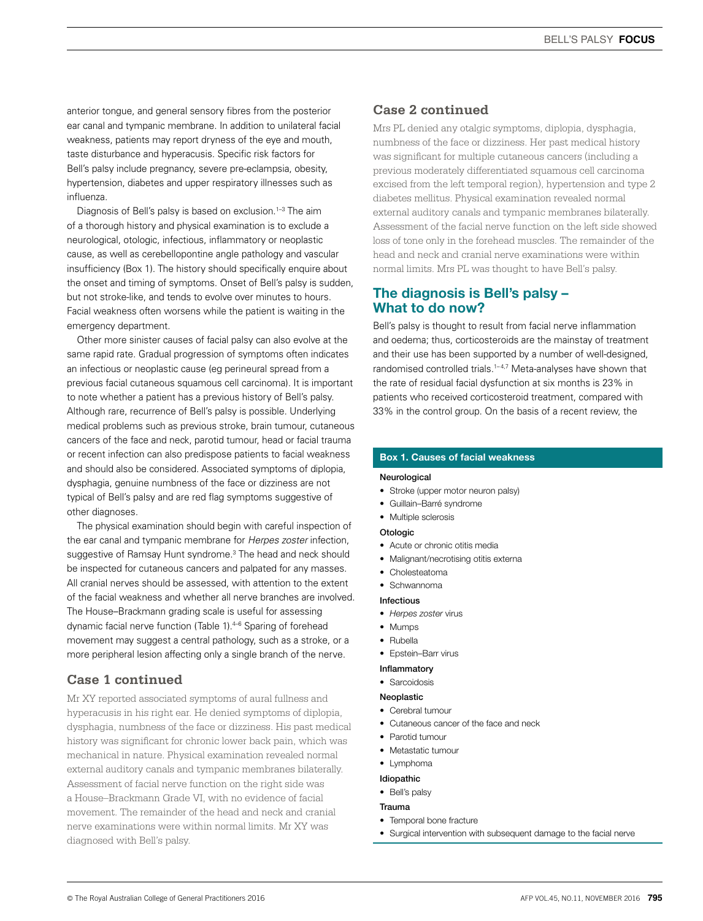anterior tongue, and general sensory fibres from the posterior ear canal and tympanic membrane. In addition to unilateral facial weakness, patients may report dryness of the eye and mouth, taste disturbance and hyperacusis. Specific risk factors for Bell's palsy include pregnancy, severe pre-eclampsia, obesity, hypertension, diabetes and upper respiratory illnesses such as influenza.

Diagnosis of Bell's palsy is based on exclusion.<sup>1-3</sup> The aim of a thorough history and physical examination is to exclude a neurological, otologic, infectious, inflammatory or neoplastic cause, as well as cerebellopontine angle pathology and vascular insufficiency (Box 1). The history should specifically enquire about the onset and timing of symptoms. Onset of Bell's palsy is sudden, but not stroke-like, and tends to evolve over minutes to hours. Facial weakness often worsens while the patient is waiting in the emergency department.

Other more sinister causes of facial palsy can also evolve at the same rapid rate. Gradual progression of symptoms often indicates an infectious or neoplastic cause (eg perineural spread from a previous facial cutaneous squamous cell carcinoma). It is important to note whether a patient has a previous history of Bell's palsy. Although rare, recurrence of Bell's palsy is possible. Underlying medical problems such as previous stroke, brain tumour, cutaneous cancers of the face and neck, parotid tumour, head or facial trauma or recent infection can also predispose patients to facial weakness and should also be considered. Associated symptoms of diplopia, dysphagia, genuine numbness of the face or dizziness are not typical of Bell's palsy and are red flag symptoms suggestive of other diagnoses.

The physical examination should begin with careful inspection of the ear canal and tympanic membrane for *Herpes zoster* infection, suggestive of Ramsay Hunt syndrome.<sup>3</sup> The head and neck should be inspected for cutaneous cancers and palpated for any masses. All cranial nerves should be assessed, with attention to the extent of the facial weakness and whether all nerve branches are involved. The House–Brackmann grading scale is useful for assessing dynamic facial nerve function (Table 1).4–6 Sparing of forehead movement may suggest a central pathology, such as a stroke, or a more peripheral lesion affecting only a single branch of the nerve.

## **Case 1 continued**

Mr XY reported associated symptoms of aural fullness and hyperacusis in his right ear. He denied symptoms of diplopia, dysphagia, numbness of the face or dizziness. His past medical history was significant for chronic lower back pain, which was mechanical in nature. Physical examination revealed normal external auditory canals and tympanic membranes bilaterally. Assessment of facial nerve function on the right side was a House–Brackmann Grade VI, with no evidence of facial movement. The remainder of the head and neck and cranial nerve examinations were within normal limits. Mr XY was diagnosed with Bell's palsy.

## **Case 2 continued**

Mrs PL denied any otalgic symptoms, diplopia, dysphagia, numbness of the face or dizziness. Her past medical history was significant for multiple cutaneous cancers (including a previous moderately differentiated squamous cell carcinoma excised from the left temporal region), hypertension and type 2 diabetes mellitus. Physical examination revealed normal external auditory canals and tympanic membranes bilaterally. Assessment of the facial nerve function on the left side showed loss of tone only in the forehead muscles. The remainder of the head and neck and cranial nerve examinations were within normal limits. Mrs PL was thought to have Bell's palsy.

## The diagnosis is Bell's palsy – What to do now?

Bell's palsy is thought to result from facial nerve inflammation and oedema; thus, corticosteroids are the mainstay of treatment and their use has been supported by a number of well-designed, randomised controlled trials.<sup>1-4,7</sup> Meta-analyses have shown that the rate of residual facial dysfunction at six months is 23% in patients who received corticosteroid treatment, compared with 33% in the control group. On the basis of a recent review, the

## Box 1. Causes of facial weakness

#### Neurological

- Stroke (upper motor neuron palsy)
- Guillain–Barré syndrome
- Multiple sclerosis

## Otologic

- Acute or chronic otitis media
- Malignant/necrotising otitis externa
- Cholesteatoma
- Schwannoma

#### Infectious

- *• Herpes zoster* virus
- Mumps
- Rubella
- Epstein–Barr virus

#### Inflammatory

• Sarcoidosis

#### **Neoplastic**

#### • Cerebral tumour

- Cutaneous cancer of the face and neck
- Parotid tumour
- Metastatic tumour
- Lymphoma

#### Idiopathic

• Bell's palsy

#### Trauma

- Temporal bone fracture
- Surgical intervention with subsequent damage to the facial nerve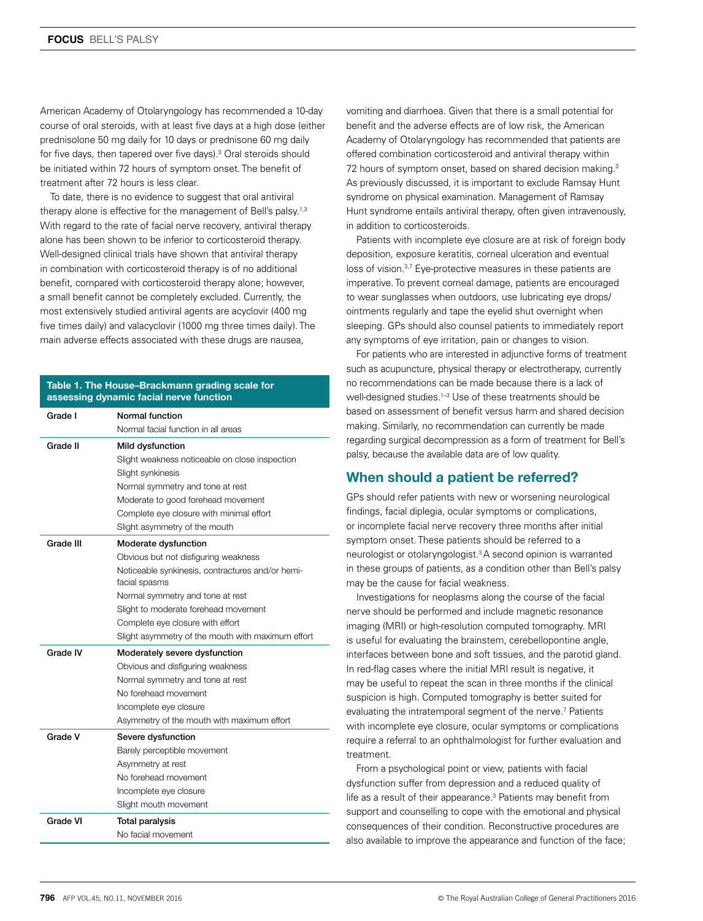American Academy of Otolaryngology has recommended a 10-day course of oral steroids, with at least five days at a high dose (either prednisolone 50 mg daily for 10 days or prednisone 60 mg daily for five days, then tapered over five days).<sup>3</sup> Oral steroids should be initiated within 72 hours of symptom onset. The benefit of treatment after 72 hours is less clear.

To date, there is no evidence to suggest that oral antiviral therapy alone is effective for the management of Bell's palsy.<sup>1,3</sup> With regard to the rate of facial nerve recovery, antiviral therapy alone has been shown to be inferior to corticosteroid therapy. Well-designed clinical trials have shown that antiviral therapy in combination with corticosteroid therapy is of no additional benefit, compared with corticosteroid therapy alone; however, a small benefit cannot be completely excluded. Currently, the most extensively studied antiviral agents are acyclovir (400 mg five times daily) and valacyclovir (1000 mg three times daily). The main adverse effects associated with these drugs are nausea,

## Table 1. The House–Brackmann grading scale for assessing dynamic facial nerve function

| Grade I   | Normal function                                                   |
|-----------|-------------------------------------------------------------------|
|           | Normal facial function in all areas                               |
| Grade II  | Mild dysfunction                                                  |
|           | Slight weakness noticeable on close inspection                    |
|           | Slight synkinesis                                                 |
|           | Normal symmetry and tone at rest                                  |
|           | Moderate to good forehead movement                                |
|           | Complete eye closure with minimal effort                          |
|           | Slight asymmetry of the mouth                                     |
| Grade III | Moderate dysfunction                                              |
|           | Obvious but not disfiguring weakness                              |
|           | Noticeable synkinesis, contractures and/or hemi-<br>facial spasms |
|           | Normal symmetry and tone at rest                                  |
|           | Slight to moderate forehead movement                              |
|           | Complete eye closure with effort                                  |
|           | Slight asymmetry of the mouth with maximum effort                 |
| Grade IV  | Moderately severe dysfunction                                     |
|           | Obvious and disfiguring weakness                                  |
|           | Normal symmetry and tone at rest                                  |
|           | No forehead movement                                              |
|           | Incomplete eye closure                                            |
|           | Asymmetry of the mouth with maximum effort                        |
| Grade V   | Severe dysfunction                                                |
|           | Barely perceptible movement                                       |
|           | Asymmetry at rest                                                 |
|           | No forehead movement                                              |
|           | Incomplete eye closure                                            |
|           | Slight mouth movement                                             |
| Grade VI  | <b>Total paralysis</b>                                            |
|           | No facial movement                                                |

vomiting and diarrhoea. Given that there is a small potential for benefit and the adverse effects are of low risk, the American Academy of Otolaryngology has recommended that patients are offered combination corticosteroid and antiviral therapy within 72 hours of symptom onset, based on shared decision making.<sup>3</sup> As previously discussed, it is important to exclude Ramsay Hunt syndrome on physical examination. Management of Ramsay Hunt syndrome entails antiviral therapy, often given intravenously, in addition to corticosteroids.

Patients with incomplete eye closure are at risk of foreign body deposition, exposure keratitis, corneal ulceration and eventual loss of vision.<sup>3,7</sup> Eye-protective measures in these patients are imperative. To prevent corneal damage, patients are encouraged to wear sunglasses when outdoors, use lubricating eye drops/ ointments regularly and tape the eyelid shut overnight when sleeping. GPs should also counsel patients to immediately report any symptoms of eye irritation, pain or changes to vision.

For patients who are interested in adjunctive forms of treatment such as acupuncture, physical therapy or electrotherapy, currently no recommendations can be made because there is a lack of well-designed studies.1–3 Use of these treatments should be based on assessment of benefit versus harm and shared decision making. Similarly, no recommendation can currently be made regarding surgical decompression as a form of treatment for Bell's palsy, because the available data are of low quality.

# When should a patient be referred?

GPs should refer patients with new or worsening neurological findings, facial diplegia, ocular symptoms or complications, or incomplete facial nerve recovery three months after initial symptom onset. These patients should be referred to a neurologist or otolaryngologist.3 A second opinion is warranted in these groups of patients, as a condition other than Bell's palsy may be the cause for facial weakness.

Investigations for neoplasms along the course of the facial nerve should be performed and include magnetic resonance imaging (MRI) or high-resolution computed tomography. MRI is useful for evaluating the brainstem, cerebellopontine angle, interfaces between bone and soft tissues, and the parotid gland. In red-flag cases where the initial MRI result is negative, it may be useful to repeat the scan in three months if the clinical suspicion is high. Computed tomography is better suited for evaluating the intratemporal segment of the nerve.<sup>7</sup> Patients with incomplete eye closure, ocular symptoms or complications require a referral to an ophthalmologist for further evaluation and treatment.

From a psychological point or view, patients with facial dysfunction suffer from depression and a reduced quality of life as a result of their appearance.<sup>3</sup> Patients may benefit from support and counselling to cope with the emotional and physical consequences of their condition. Reconstructive procedures are also available to improve the appearance and function of the face;